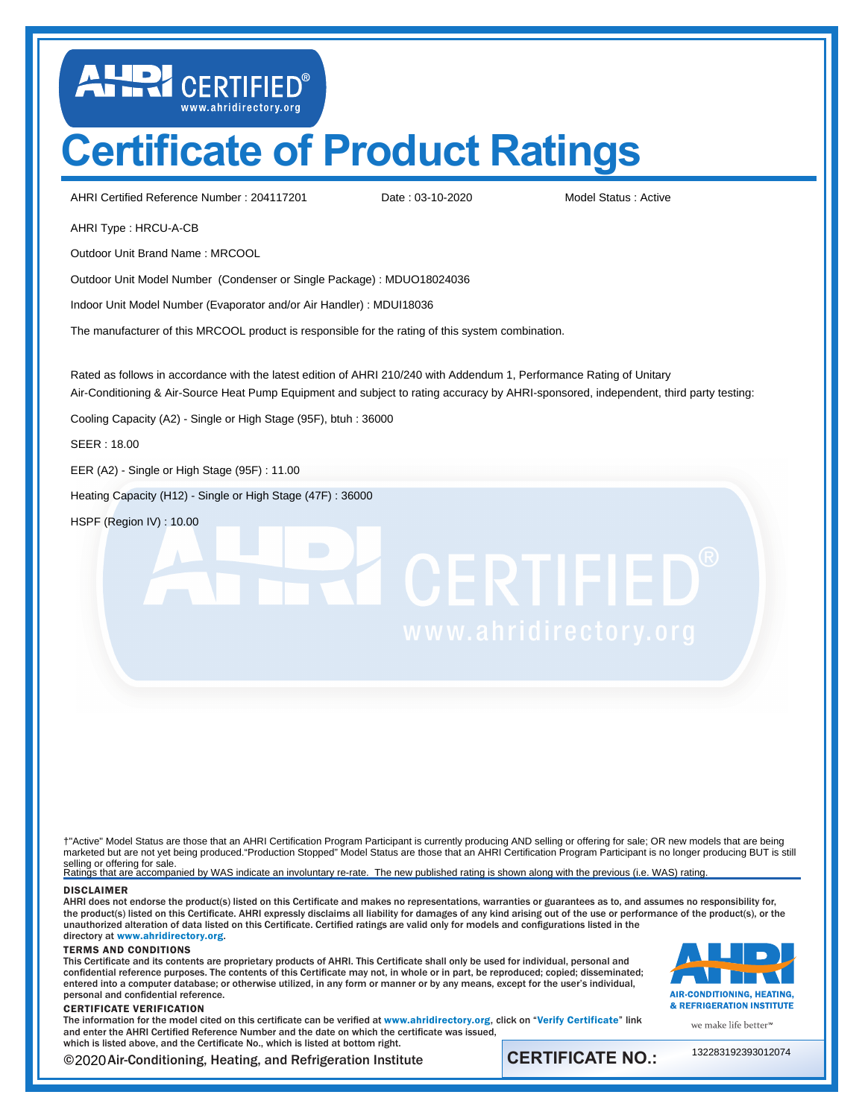## **Certificate of Product Ratings**

AHRI Certified Reference Number: 204117201 Date: 03-10-2020 Model Status: Active

LUD CERTIFIED®

Date : 03-10-2020

AHRI Type : HRCU-A-CB

Outdoor Unit Brand Name : MRCOOL

Outdoor Unit Model Number (Condenser or Single Package) : MDUO18024036

Indoor Unit Model Number (Evaporator and/or Air Handler) : MDUI18036

The manufacturer of this MRCOOL product is responsible for the rating of this system combination.

Rated as follows in accordance with the latest edition of AHRI 210/240 with Addendum 1, Performance Rating of Unitary Air-Conditioning & Air-Source Heat Pump Equipment and subject to rating accuracy by AHRI-sponsored, independent, third party testing:

Cooling Capacity (A2) - Single or High Stage (95F), btuh : 36000

SEER : 18.00

EER (A2) - Single or High Stage (95F) : 11.00

Heating Capacity (H12) - Single or High Stage (47F) : 36000

HSPF (Region IV) : 10.00

# **TE CERTIFIED®**

† marketed but are not yet being produced."Production Stopped" Model Status are those that an AHRI Certification Program Participant is no longer producing BUT is still selling or offering for sale.<br>Ratings that are accompanied by WAS indicate an involuntary re-rate. The new published rating is shown along with the previous (i.e. WAS) rating. †"Active" Model Status are those that an AHRI Certification Program Participant is currently producing AND selling or offering for sale; OR new models that are being

## DISCLAIMER

AHRI does not endorse the product(s) listed on this Certificate and makes no representations, warranties or guarantees as to, and assumes no responsibility for, the product(s) listed on this Certificate. AHRI expressly disclaims all liability for damages of any kind arising out of the use or performance of the product(s), or the unauthorized alteration of data listed on this Certificate. Certified ratings are valid only for models and configurations listed in the directory at <www.ahridirectory.org>.

### TERMS AND CONDITIONS

This Certificate and its contents are proprietary products of AHRI. This Certificate shall only be used for individual, personal and confidential reference purposes. The contents of this Certificate may not, in whole or in part, be reproduced; copied; disseminated; entered into a computer database; or otherwise utilized, in any form or manner or by any means, except for the user's individual, personal and confidential reference.

### CERTIFICATE VERIFICATION

The information for the model cited on this certificate can be verified at <www.ahridirectory.org>, click on "[Verify Certificate](https://www.ahridirectory.org/Certificate/Index)" link and enter the AHRI Certified Reference Number and the date on which the certificate was issued, which is listed above, and the Certificate No., which is listed at bottom right.

©2020 Air-Conditioning, Heating, and Refrigeration Institute **CERTIFICATE NO.:** 

AIR-CONDITIONING, HEATING. & REFRIGERATION INSTITUTE

we make life better<sup>™</sup>

132283192393012074